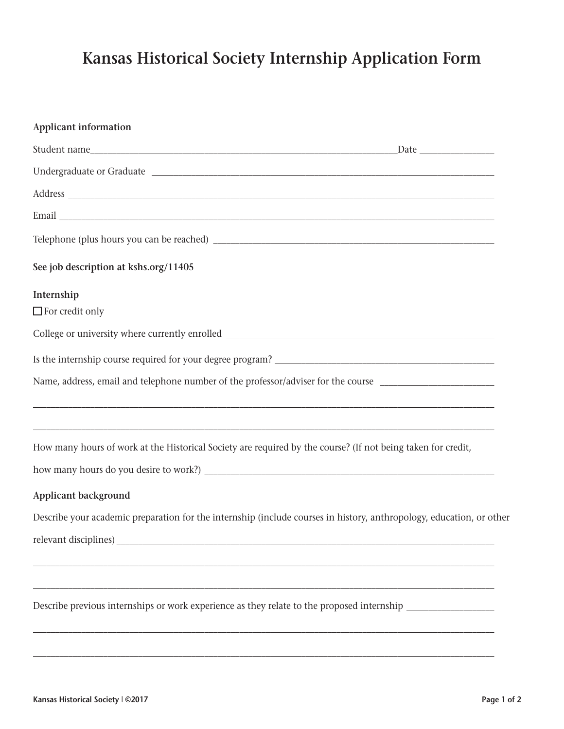## **Kansas Historical Society Internship Application Form**

| <b>Applicant information</b>                                                                                                                                                                              |  |
|-----------------------------------------------------------------------------------------------------------------------------------------------------------------------------------------------------------|--|
| $\sqrt{\frac{5}{2}}$ Date                                                                                                                                                                                 |  |
|                                                                                                                                                                                                           |  |
|                                                                                                                                                                                                           |  |
|                                                                                                                                                                                                           |  |
|                                                                                                                                                                                                           |  |
| See job description at kshs.org/11405                                                                                                                                                                     |  |
| Internship                                                                                                                                                                                                |  |
| $\Box$ For credit only                                                                                                                                                                                    |  |
|                                                                                                                                                                                                           |  |
|                                                                                                                                                                                                           |  |
| Name, address, email and telephone number of the professor/adviser for the course                                                                                                                         |  |
| ,我们也不会有什么。""我们的人,我们也不会有什么?""我们的人,我们也不会有什么?""我们的人,我们也不会有什么?""我们的人,我们也不会有什么?""我们的人<br><u> 1989 - Johann Amerikaanse kommunister († 1989), deur de Franse kommunister († 1989), deur de Franse kommunist</u> |  |
| How many hours of work at the Historical Society are required by the course? (If not being taken for credit,                                                                                              |  |
|                                                                                                                                                                                                           |  |
| <b>Applicant background</b>                                                                                                                                                                               |  |
| Describe your academic preparation for the internship (include courses in history, anthropology, education, or other                                                                                      |  |
| relevant disciplines)                                                                                                                                                                                     |  |
|                                                                                                                                                                                                           |  |
| Describe previous internships or work experience as they relate to the proposed internship                                                                                                                |  |

\_\_\_\_\_\_\_\_\_\_\_\_\_\_\_\_\_\_\_\_\_\_\_\_\_\_\_\_\_\_\_\_\_\_\_\_\_\_\_\_\_\_\_\_\_\_\_\_\_\_\_\_\_\_\_\_\_\_\_\_\_\_\_\_\_\_\_\_\_\_\_\_\_\_\_\_\_\_\_\_\_\_\_\_\_\_\_\_\_\_\_\_\_\_\_\_\_\_\_\_\_\_\_\_\_